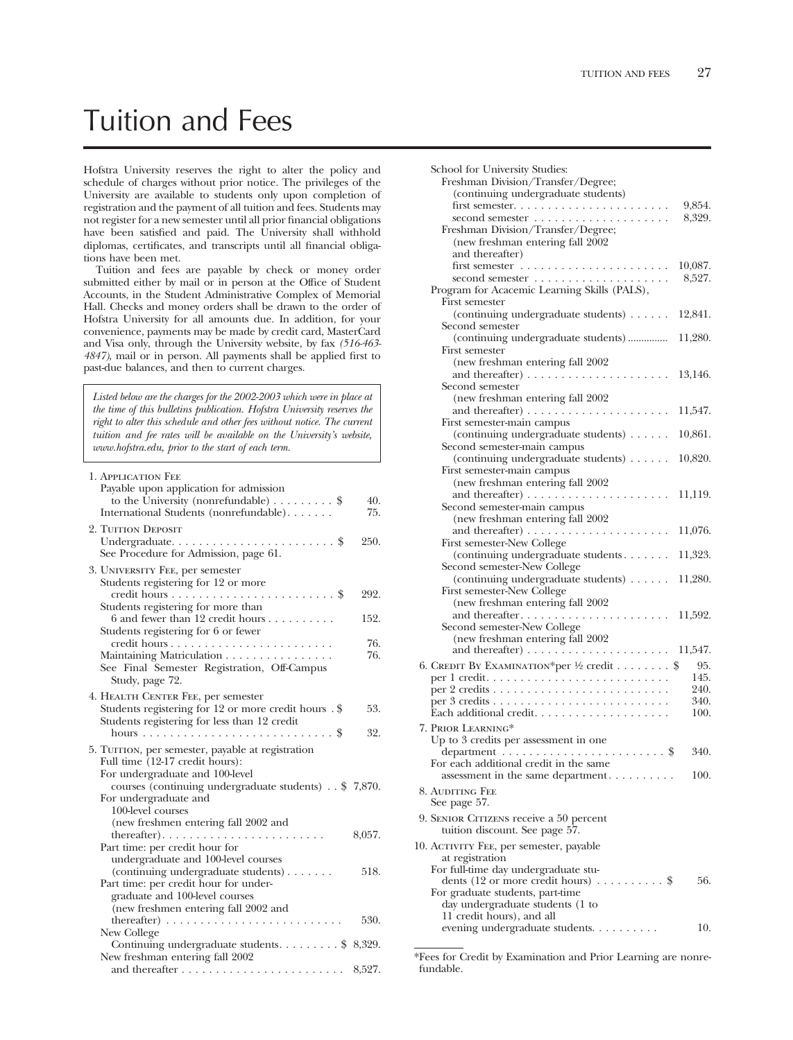# Tuition and Fees

Hofstra University reserves the right to alter the policy and schedule of charges without prior notice. The privileges of the University are available to students only upon completion of registration and the payment of all tuition and fees. Students may not register for a new semester until all prior fnancial obligations have been satisfed and paid. The University shall withhold diplomas, certifcates, and transcripts until all fnancial obligations have been met.

Tuition and fees are payable by check or money order submitted either by mail or in person at the Office of Student Accounts, in the Student Administrative Complex of Memorial Hall. Checks and money orders shall be drawn to the order of Hofstra University for all amounts due. In addition, for your convenience, payments may be made by credit card, MasterCard and Visa only, through the University website, by fax *(516-463- 4847)*, mail or in person. All payments shall be applied frst to past-due balances, and then to current charges.

*Listed below are the charges for the 2002-2003 which were in place at the time of this bulletins publication. Hofstra University reserves the right to alter this schedule and other fees without notice. The current tuition and fee rates will be available on the University's website, www.hofstra.edu, prior to the start of each term.* 

| 1. APPLICATION FEE                                                    |        |
|-----------------------------------------------------------------------|--------|
| Payable upon application for admission                                |        |
| to the University (nonrefundable) $\dots \dots$ \$                    | 40.    |
| International Students (nonrefundable).                               | 75.    |
| 2. TUITION DEPOSIT                                                    |        |
|                                                                       | 250.   |
| See Procedure for Admission, page 61.                                 |        |
| 3. UNIVERSITY FEE, per semester                                       |        |
| Students registering for 12 or more                                   |        |
|                                                                       | 292.   |
| Students registering for more than                                    |        |
| $6$ and fewer than 12 credit hours                                    | 152.   |
| Students registering for 6 or fewer                                   |        |
|                                                                       | 76.    |
| Maintaining Matriculation                                             | 76.    |
| See Final Semester Registration, Off-Campus                           |        |
| Study, page 72.                                                       |        |
| 4. HEALTH CENTER FEE, per semester                                    |        |
| Students registering for 12 or more credit hours . \$                 | 53.    |
| Students registering for less than 12 credit                          |        |
|                                                                       | 32.    |
| 5. TUITION, per semester, payable at registration                     |        |
| Full time (12-17 credit hours):                                       |        |
| For undergraduate and 100-level                                       |        |
| courses (continuing undergraduate students) . \$ 7,870.               |        |
| For undergraduate and                                                 |        |
| 100-level courses                                                     |        |
| (new freshmen entering fall 2002 and                                  |        |
| Part time: per credit hour for                                        | 8,057. |
| undergraduate and 100-level courses                                   |        |
| (continuing undergraduate students)                                   | 518.   |
| Part time: per credit hour for under-                                 |        |
| graduate and 100-level courses                                        |        |
| (new freshmen entering fall 2002 and                                  |        |
| thereafter) $\ldots \ldots \ldots \ldots \ldots \ldots \ldots \ldots$ | 530.   |
| New College                                                           |        |
| Continuing undergraduate students. \$ 8,329.                          |        |
| New freshman entering fall 2002                                       |        |
|                                                                       |        |

| School for University Studies:<br>Freshman Division/Transfer/Degree;<br>(continuing undergraduate students)<br>Freshman Division/Transfer/Degree;<br>(new freshman entering fall 2002<br>and thereafter) | 9,854.<br>8,329.  |
|----------------------------------------------------------------------------------------------------------------------------------------------------------------------------------------------------------|-------------------|
| Program for Acacemic Learning Skills (PALS),<br>First semester                                                                                                                                           | 10,087.<br>8,527. |
| (continuing undergraduate students)                                                                                                                                                                      | 12,841.           |
| Second semester<br>(continuing undergraduate students)<br>First semester                                                                                                                                 | 11,280.           |
| (new freshman entering fall 2002<br>Second semester                                                                                                                                                      | 13,146.           |
| (new freshman entering fall 2002<br>and thereafter) $\dots \dots \dots \dots \dots \dots \dots$                                                                                                          | 11,547.           |
| First semester-main campus<br>(continuing undergraduate students)                                                                                                                                        | 10,861.           |
| Second semester-main campus<br>(continuing undergraduate students)                                                                                                                                       | 10,820.           |
| First semester-main campus                                                                                                                                                                               |                   |
| (new freshman entering fall 2002)<br>and thereafter) $\dots \dots \dots$<br>Second semester-main campus<br>(new freshman entering fall 2002                                                              | 11,119.           |
|                                                                                                                                                                                                          | 11,076.           |
| First semester-New College<br>(continuing undergraduate students                                                                                                                                         | 11,323.           |
| Second semester-New College<br>(continuing undergraduate students)<br><b>First semester-New College</b>                                                                                                  | 11,280.           |
| (new freshman entering fall 2002<br>Second semester-New College<br>(new freshman entering fall 2002                                                                                                      | 11,592.           |
|                                                                                                                                                                                                          | 11,547.           |
| 6. CREDIT BY EXAMINATION*per 1/2 credit \$                                                                                                                                                               | 95.<br>145.       |
|                                                                                                                                                                                                          | 240.              |
|                                                                                                                                                                                                          | 340.<br>100.      |
| 7. PRIOR LEARNING*                                                                                                                                                                                       |                   |
| Up to 3 credits per assessment in one                                                                                                                                                                    |                   |
| department $\ldots \ldots \ldots \ldots \ldots \ldots \ldots$                                                                                                                                            | 340.              |
| For each additional credit in the same<br>assessment in the same department                                                                                                                              | 100.              |
| 8. AUDITING FEE<br>See page 57.                                                                                                                                                                          |                   |
| 9. SENIOR CITIZENS receive a 50 percent<br>tuition discount. See page 57.                                                                                                                                |                   |
| 10. ACTIVITY FEE, per semester, payable<br>at registration<br>For full-time day undergraduate stu-                                                                                                       |                   |
| dents (12 or more credit hours) $\dots \dots$<br>For graduate students, part-time<br>day undergraduate students (1 to                                                                                    | 56.               |
| 11 credit hours), and all<br>evening undergraduate students.                                                                                                                                             | 10.               |
|                                                                                                                                                                                                          |                   |

\*Fees for Credit by Examination and Prior Learning are nonrefundable.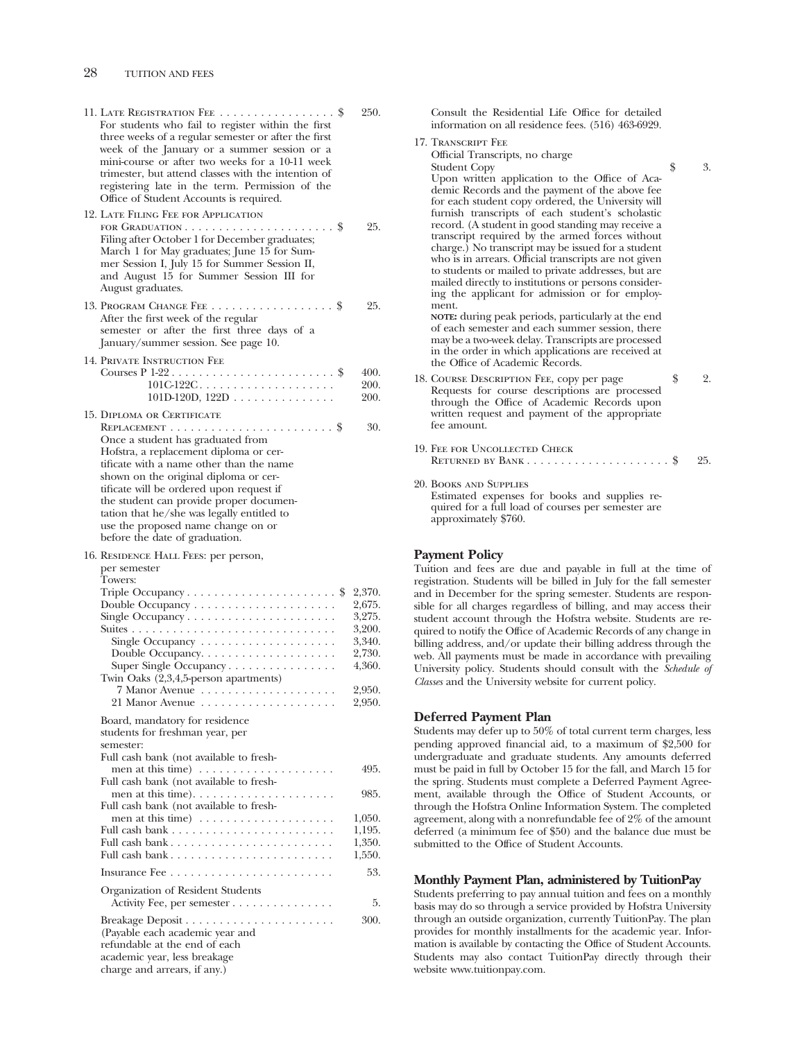| For students who fail to register within the first<br>three weeks of a regular semester or after the first<br>week of the January or a summer session or a<br>mini-course or after two weeks for a 10-11 week<br>trimester, but attend classes with the intention of<br>registering late in the term. Permission of the<br>Office of Student Accounts is required.<br>12. LATE FILING FEE FOR APPLICATION                                                             | 250.                                                                         |
|-----------------------------------------------------------------------------------------------------------------------------------------------------------------------------------------------------------------------------------------------------------------------------------------------------------------------------------------------------------------------------------------------------------------------------------------------------------------------|------------------------------------------------------------------------------|
| FOR GRADUATION $\dots \dots \dots \dots \dots \dots \dots$<br>Filing after October 1 for December graduates;<br>March 1 for May graduates; June 15 for Sum-<br>mer Session I, July 15 for Summer Session II,<br>and August 15 for Summer Session III for<br>August graduates.                                                                                                                                                                                         | 25.                                                                          |
| After the first week of the regular<br>semester or after the first three days of a<br>January/summer session. See page 10.                                                                                                                                                                                                                                                                                                                                            | 25.                                                                          |
| 14. PRIVATE INSTRUCTION FEE<br>$101C122C$<br>$101D-120D, 122D$                                                                                                                                                                                                                                                                                                                                                                                                        | 400.<br>200.<br>200.                                                         |
| 15. DIPLOMA OR CERTIFICATE<br>REPLACEMENT $\dots\dots\dots\dots\dots\dots\dots\dots$<br>Once a student has graduated from<br>Hofstra, a replacement diploma or cer-<br>tificate with a name other than the name<br>shown on the original diploma or cer-<br>tificate will be ordered upon request if<br>the student can provide proper documen-<br>tation that he/she was legally entitled to<br>use the proposed name change on or<br>before the date of graduation. | 30.                                                                          |
| 16. RESIDENCE HALL FEES: per person,<br>per semester<br>Towers:<br>\$                                                                                                                                                                                                                                                                                                                                                                                                 | 2,370.                                                                       |
| Super Single Occupancy<br>Twin Oaks (2,3,4,5-person apartments)<br>7 Manor Avenue<br>21 Manor Avenue                                                                                                                                                                                                                                                                                                                                                                  | 2,675.<br>3,275.<br>3,200.<br>3,340.<br>2,730.<br>4,360.<br>2,950.<br>2,950. |
| Board, mandatory for residence<br>students for freshman year, per<br>semester:<br>Full cash bank (not available to fresh-                                                                                                                                                                                                                                                                                                                                             |                                                                              |
| men at this time) $\dots \dots \dots \dots$<br>$\sim$ $\sim$ $\sim$ $\sim$ $\sim$<br>Full cash bank (not available to fresh-                                                                                                                                                                                                                                                                                                                                          | 495.                                                                         |
| Full cash bank (not available to fresh-                                                                                                                                                                                                                                                                                                                                                                                                                               | 985.                                                                         |
| men at this time) $\ldots \ldots \ldots \ldots \ldots \ldots$                                                                                                                                                                                                                                                                                                                                                                                                         | 1,050.                                                                       |
| Full cash bank                                                                                                                                                                                                                                                                                                                                                                                                                                                        | 1,195.<br>1,350.                                                             |
| Full cash bank                                                                                                                                                                                                                                                                                                                                                                                                                                                        | 1,550.                                                                       |
|                                                                                                                                                                                                                                                                                                                                                                                                                                                                       | 53.                                                                          |
| Organization of Resident Students<br>Activity Fee, per semester                                                                                                                                                                                                                                                                                                                                                                                                       | 5.                                                                           |

Consult the Residential Life Office for detailed information on all residence fees. (516) 463-6929.

17. Transcript Fee Official Transcripts, no charge

Student Copy  $\qquad \qquad$  \$ 3. Upon written application to the Office of Academic Records and the payment of the above fee for each student copy ordered, the University will furnish transcripts of each student's scholastic record. (A student in good standing may receive a transcript required by the armed forces without charge.) No transcript may be issued for a student who is in arrears. Official transcripts are not given to students or mailed to private addresses, but are mailed directly to institutions or persons considering the applicant for admission or for employment.

**NOTE:** during peak periods, particularly at the end of each semester and each summer session, there may be a two-week delay. Transcripts are processed in the order in which applications are received at the Office of Academic Records.

- 18. COURSE DESCRIPTION FEE, copy per page  $$ 2.$ Requests for course descriptions are processed through the Offce of Academic Records upon written request and payment of the appropriate fee amount.
- 19. Fee for Uncollected Check Returned by Bank . . . . . . . . . . . . . . . . . . . . . \$ 25.
- 20. Books and Supplies Estimated expenses for books and supplies required for a full load of courses per semester are approximately \$760.

# **Payment Policy**

Tuition and fees are due and payable in full at the time of registration. Students will be billed in July for the fall semester and in December for the spring semester. Students are responsible for all charges regardless of billing, and may access their student account through the Hofstra website. Students are required to notify the Office of Academic Records of any change in billing address, and/or update their billing address through the web. All payments must be made in accordance with prevailing University policy. Students should consult with the *Schedule of Classes* and the University website for current policy.

### **Deferred Payment Plan**

Students may defer up to 50% of total current term charges, less pending approved fnancial aid, to a maximum of \$2,500 for undergraduate and graduate students. Any amounts deferred must be paid in full by October 15 for the fall, and March 15 for the spring. Students must complete a Deferred Payment Agreement, available through the Office of Student Accounts, or through the Hofstra Online Information System. The completed agreement, along with a nonrefundable fee of 2% of the amount deferred (a minimum fee of \$50) and the balance due must be submitted to the Office of Student Accounts.

### **Monthly Payment Plan, administered by TuitionPay**

Students preferring to pay annual tuition and fees on a monthly basis may do so through a service provided by Hofstra University through an outside organization, currently TuitionPay. The plan provides for monthly installments for the academic year. Information is available by contacting the Office of Student Accounts. Students may also contact TuitionPay directly through their website www.tuitionpay.com.